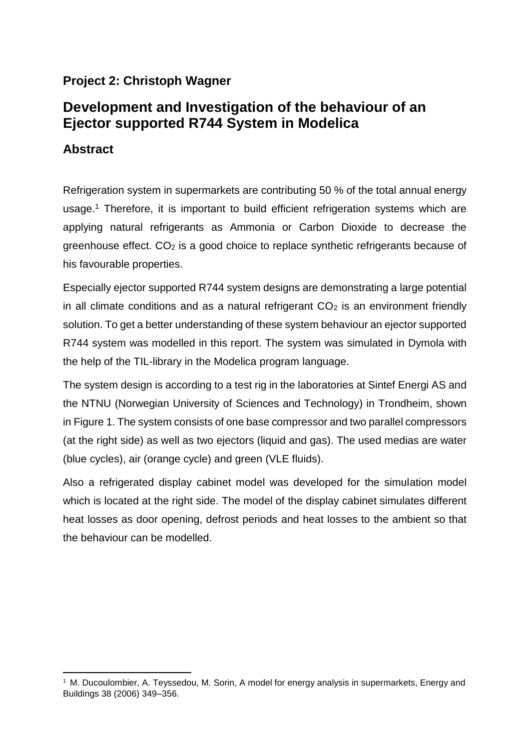## **Project 2: Christoph Wagner**

## **Development and Investigation of the behaviour of an Ejector supported R744 System in Modelica**

## **Abstract**

**.** 

Refrigeration system in supermarkets are contributing 50 % of the total annual energy usage.<sup>1</sup> Therefore, it is important to build efficient refrigeration systems which are applying natural refrigerants as Ammonia or Carbon Dioxide to decrease the greenhouse effect. CO<sup>2</sup> is a good choice to replace synthetic refrigerants because of his favourable properties.

Especially ejector supported R744 system designs are demonstrating a large potential in all climate conditions and as a natural refrigerant  $CO<sub>2</sub>$  is an environment friendly solution. To get a better understanding of these system behaviour an ejector supported R744 system was modelled in this report. The system was simulated in Dymola with the help of the TIL-library in the Modelica program language.

The system design is according to a test rig in the laboratories at Sintef Energi AS and the NTNU (Norwegian University of Sciences and Technology) in Trondheim, shown in [Figure 1.](#page-1-0) The system consists of one base compressor and two parallel compressors (at the right side) as well as two ejectors (liquid and gas). The used medias are water (blue cycles), air (orange cycle) and green (VLE fluids).

Also a refrigerated display cabinet model was developed for the simulation model which is located at the right side. The model of the display cabinet simulates different heat losses as door opening, defrost periods and heat losses to the ambient so that the behaviour can be modelled.

<sup>&</sup>lt;sup>1</sup> M. Ducoulombier, A. Teyssedou, M. Sorin, A model for energy analysis in supermarkets, Energy and Buildings 38 (2006) 349–356.